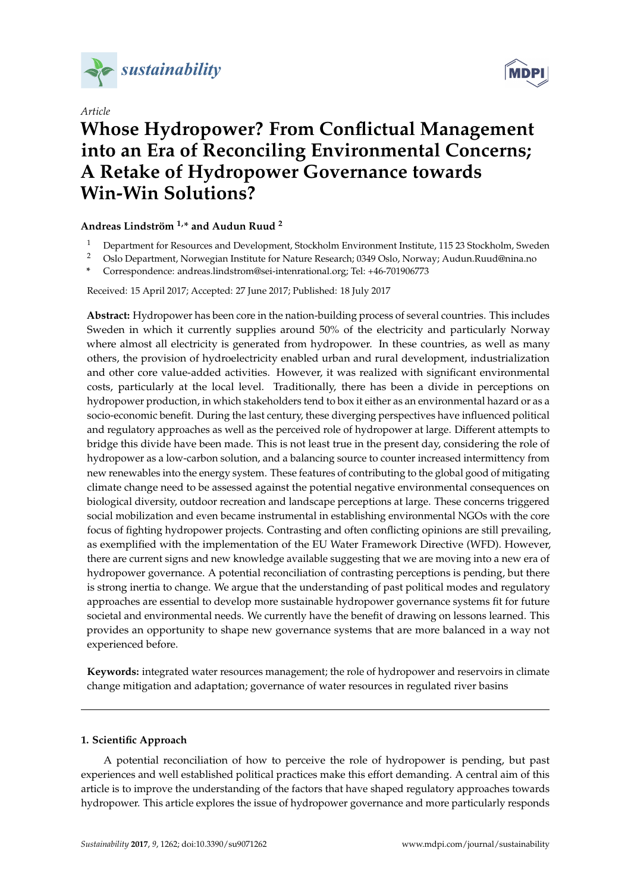

*Article*



# **Whose Hydropower? From Conflictual Management into an Era of Reconciling Environmental Concerns; A Retake of Hydropower Governance towards Win-Win Solutions?**

# **Andreas Lindström 1,\* and Audun Ruud <sup>2</sup>**

- <sup>1</sup> Department for Resources and Development, Stockholm Environment Institute, 115 23 Stockholm, Sweden<br><sup>2</sup> Oslo Department, Norwegian Institute for Nature Research, 0240 Oslo, Norwegi, Audun Buud@nine.ne
- <sup>2</sup> Oslo Department, Norwegian Institute for Nature Research; 0349 Oslo, Norway; Audun.Ruud@nina.no
- **\*** Correspondence: andreas.lindstrom@sei-intenrational.org; Tel: +46-701906773

Received: 15 April 2017; Accepted: 27 June 2017; Published: 18 July 2017

**Abstract:** Hydropower has been core in the nation-building process of several countries. This includes Sweden in which it currently supplies around 50% of the electricity and particularly Norway where almost all electricity is generated from hydropower. In these countries, as well as many others, the provision of hydroelectricity enabled urban and rural development, industrialization and other core value-added activities. However, it was realized with significant environmental costs, particularly at the local level. Traditionally, there has been a divide in perceptions on hydropower production, in which stakeholders tend to box it either as an environmental hazard or as a socio-economic benefit. During the last century, these diverging perspectives have influenced political and regulatory approaches as well as the perceived role of hydropower at large. Different attempts to bridge this divide have been made. This is not least true in the present day, considering the role of hydropower as a low-carbon solution, and a balancing source to counter increased intermittency from new renewables into the energy system. These features of contributing to the global good of mitigating climate change need to be assessed against the potential negative environmental consequences on biological diversity, outdoor recreation and landscape perceptions at large. These concerns triggered social mobilization and even became instrumental in establishing environmental NGOs with the core focus of fighting hydropower projects. Contrasting and often conflicting opinions are still prevailing, as exemplified with the implementation of the EU Water Framework Directive (WFD). However, there are current signs and new knowledge available suggesting that we are moving into a new era of hydropower governance. A potential reconciliation of contrasting perceptions is pending, but there is strong inertia to change. We argue that the understanding of past political modes and regulatory approaches are essential to develop more sustainable hydropower governance systems fit for future societal and environmental needs. We currently have the benefit of drawing on lessons learned. This provides an opportunity to shape new governance systems that are more balanced in a way not experienced before.

**Keywords:** integrated water resources management; the role of hydropower and reservoirs in climate change mitigation and adaptation; governance of water resources in regulated river basins

# **1. Scientific Approach**

A potential reconciliation of how to perceive the role of hydropower is pending, but past experiences and well established political practices make this effort demanding. A central aim of this article is to improve the understanding of the factors that have shaped regulatory approaches towards hydropower. This article explores the issue of hydropower governance and more particularly responds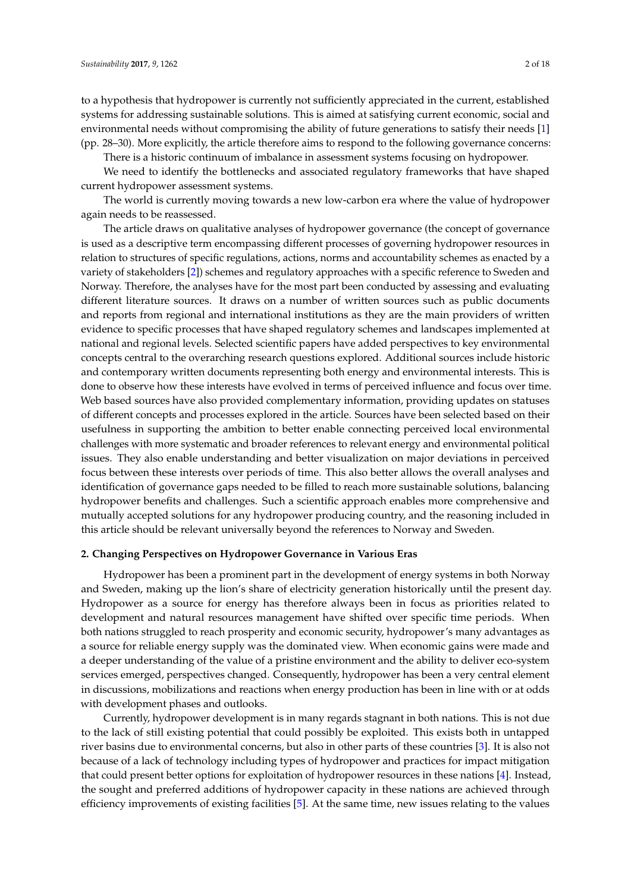to a hypothesis that hydropower is currently not sufficiently appreciated in the current, established systems for addressing sustainable solutions. This is aimed at satisfying current economic, social and environmental needs without compromising the ability of future generations to satisfy their needs [\[1\]](#page-15-0) (pp. 28–30). More explicitly, the article therefore aims to respond to the following governance concerns:

There is a historic continuum of imbalance in assessment systems focusing on hydropower.

We need to identify the bottlenecks and associated regulatory frameworks that have shaped current hydropower assessment systems.

The world is currently moving towards a new low-carbon era where the value of hydropower again needs to be reassessed.

The article draws on qualitative analyses of hydropower governance (the concept of governance is used as a descriptive term encompassing different processes of governing hydropower resources in relation to structures of specific regulations, actions, norms and accountability schemes as enacted by a variety of stakeholders [\[2\]](#page-15-1)) schemes and regulatory approaches with a specific reference to Sweden and Norway. Therefore, the analyses have for the most part been conducted by assessing and evaluating different literature sources. It draws on a number of written sources such as public documents and reports from regional and international institutions as they are the main providers of written evidence to specific processes that have shaped regulatory schemes and landscapes implemented at national and regional levels. Selected scientific papers have added perspectives to key environmental concepts central to the overarching research questions explored. Additional sources include historic and contemporary written documents representing both energy and environmental interests. This is done to observe how these interests have evolved in terms of perceived influence and focus over time. Web based sources have also provided complementary information, providing updates on statuses of different concepts and processes explored in the article. Sources have been selected based on their usefulness in supporting the ambition to better enable connecting perceived local environmental challenges with more systematic and broader references to relevant energy and environmental political issues. They also enable understanding and better visualization on major deviations in perceived focus between these interests over periods of time. This also better allows the overall analyses and identification of governance gaps needed to be filled to reach more sustainable solutions, balancing hydropower benefits and challenges. Such a scientific approach enables more comprehensive and mutually accepted solutions for any hydropower producing country, and the reasoning included in this article should be relevant universally beyond the references to Norway and Sweden.

#### **2. Changing Perspectives on Hydropower Governance in Various Eras**

Hydropower has been a prominent part in the development of energy systems in both Norway and Sweden, making up the lion's share of electricity generation historically until the present day. Hydropower as a source for energy has therefore always been in focus as priorities related to development and natural resources management have shifted over specific time periods. When both nations struggled to reach prosperity and economic security, hydropower's many advantages as a source for reliable energy supply was the dominated view. When economic gains were made and a deeper understanding of the value of a pristine environment and the ability to deliver eco-system services emerged, perspectives changed. Consequently, hydropower has been a very central element in discussions, mobilizations and reactions when energy production has been in line with or at odds with development phases and outlooks.

Currently, hydropower development is in many regards stagnant in both nations. This is not due to the lack of still existing potential that could possibly be exploited. This exists both in untapped river basins due to environmental concerns, but also in other parts of these countries [\[3\]](#page-15-2). It is also not because of a lack of technology including types of hydropower and practices for impact mitigation that could present better options for exploitation of hydropower resources in these nations [\[4\]](#page-15-3). Instead, the sought and preferred additions of hydropower capacity in these nations are achieved through efficiency improvements of existing facilities [\[5\]](#page-15-4). At the same time, new issues relating to the values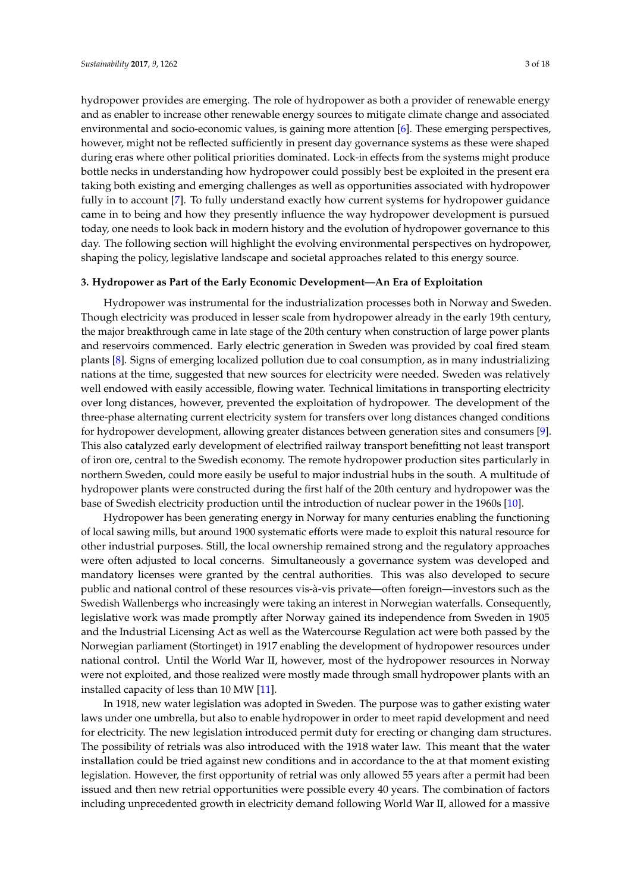hydropower provides are emerging. The role of hydropower as both a provider of renewable energy and as enabler to increase other renewable energy sources to mitigate climate change and associated environmental and socio-economic values, is gaining more attention [\[6\]](#page-15-5). These emerging perspectives, however, might not be reflected sufficiently in present day governance systems as these were shaped during eras where other political priorities dominated. Lock-in effects from the systems might produce bottle necks in understanding how hydropower could possibly best be exploited in the present era taking both existing and emerging challenges as well as opportunities associated with hydropower fully in to account [\[7\]](#page-15-6). To fully understand exactly how current systems for hydropower guidance came in to being and how they presently influence the way hydropower development is pursued today, one needs to look back in modern history and the evolution of hydropower governance to this day. The following section will highlight the evolving environmental perspectives on hydropower, shaping the policy, legislative landscape and societal approaches related to this energy source.

#### **3. Hydropower as Part of the Early Economic Development—An Era of Exploitation**

Hydropower was instrumental for the industrialization processes both in Norway and Sweden. Though electricity was produced in lesser scale from hydropower already in the early 19th century, the major breakthrough came in late stage of the 20th century when construction of large power plants and reservoirs commenced. Early electric generation in Sweden was provided by coal fired steam plants [\[8\]](#page-15-7). Signs of emerging localized pollution due to coal consumption, as in many industrializing nations at the time, suggested that new sources for electricity were needed. Sweden was relatively well endowed with easily accessible, flowing water. Technical limitations in transporting electricity over long distances, however, prevented the exploitation of hydropower. The development of the three-phase alternating current electricity system for transfers over long distances changed conditions for hydropower development, allowing greater distances between generation sites and consumers [\[9\]](#page-15-8). This also catalyzed early development of electrified railway transport benefitting not least transport of iron ore, central to the Swedish economy. The remote hydropower production sites particularly in northern Sweden, could more easily be useful to major industrial hubs in the south. A multitude of hydropower plants were constructed during the first half of the 20th century and hydropower was the base of Swedish electricity production until the introduction of nuclear power in the 1960s [\[10\]](#page-15-9).

Hydropower has been generating energy in Norway for many centuries enabling the functioning of local sawing mills, but around 1900 systematic efforts were made to exploit this natural resource for other industrial purposes. Still, the local ownership remained strong and the regulatory approaches were often adjusted to local concerns. Simultaneously a governance system was developed and mandatory licenses were granted by the central authorities. This was also developed to secure public and national control of these resources vis-à-vis private—often foreign—investors such as the Swedish Wallenbergs who increasingly were taking an interest in Norwegian waterfalls. Consequently, legislative work was made promptly after Norway gained its independence from Sweden in 1905 and the Industrial Licensing Act as well as the Watercourse Regulation act were both passed by the Norwegian parliament (Stortinget) in 1917 enabling the development of hydropower resources under national control. Until the World War II, however, most of the hydropower resources in Norway were not exploited, and those realized were mostly made through small hydropower plants with an installed capacity of less than 10 MW [\[11\]](#page-15-10).

In 1918, new water legislation was adopted in Sweden. The purpose was to gather existing water laws under one umbrella, but also to enable hydropower in order to meet rapid development and need for electricity. The new legislation introduced permit duty for erecting or changing dam structures. The possibility of retrials was also introduced with the 1918 water law. This meant that the water installation could be tried against new conditions and in accordance to the at that moment existing legislation. However, the first opportunity of retrial was only allowed 55 years after a permit had been issued and then new retrial opportunities were possible every 40 years. The combination of factors including unprecedented growth in electricity demand following World War II, allowed for a massive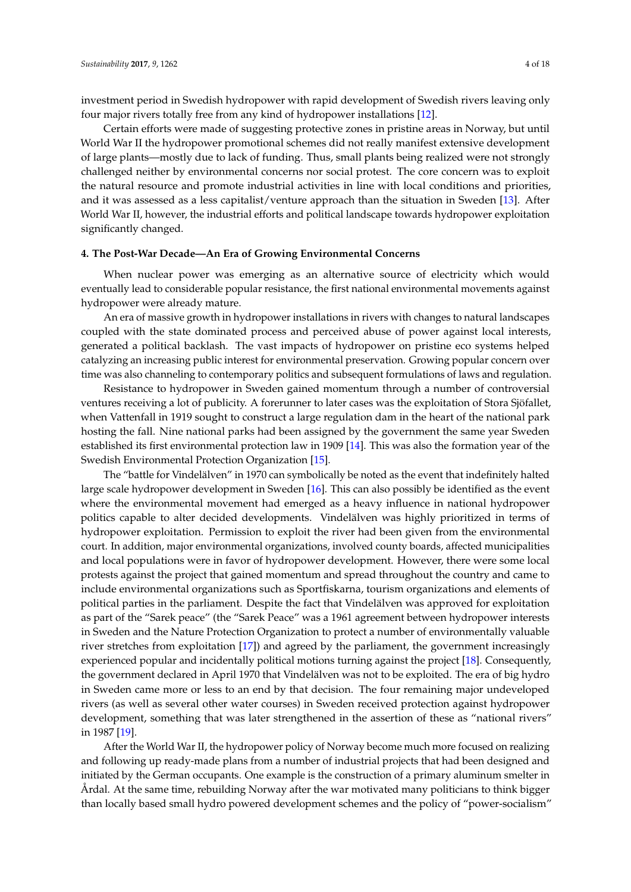investment period in Swedish hydropower with rapid development of Swedish rivers leaving only four major rivers totally free from any kind of hydropower installations [\[12\]](#page-15-11).

Certain efforts were made of suggesting protective zones in pristine areas in Norway, but until World War II the hydropower promotional schemes did not really manifest extensive development of large plants—mostly due to lack of funding. Thus, small plants being realized were not strongly challenged neither by environmental concerns nor social protest. The core concern was to exploit the natural resource and promote industrial activities in line with local conditions and priorities, and it was assessed as a less capitalist/venture approach than the situation in Sweden [\[13\]](#page-15-12). After World War II, however, the industrial efforts and political landscape towards hydropower exploitation significantly changed.

#### **4. The Post-War Decade—An Era of Growing Environmental Concerns**

When nuclear power was emerging as an alternative source of electricity which would eventually lead to considerable popular resistance, the first national environmental movements against hydropower were already mature.

An era of massive growth in hydropower installations in rivers with changes to natural landscapes coupled with the state dominated process and perceived abuse of power against local interests, generated a political backlash. The vast impacts of hydropower on pristine eco systems helped catalyzing an increasing public interest for environmental preservation. Growing popular concern over time was also channeling to contemporary politics and subsequent formulations of laws and regulation.

Resistance to hydropower in Sweden gained momentum through a number of controversial ventures receiving a lot of publicity. A forerunner to later cases was the exploitation of Stora Sjöfallet, when Vattenfall in 1919 sought to construct a large regulation dam in the heart of the national park hosting the fall. Nine national parks had been assigned by the government the same year Sweden established its first environmental protection law in 1909 [\[14\]](#page-15-13). This was also the formation year of the Swedish Environmental Protection Organization [\[15\]](#page-15-14).

The "battle for Vindelälven" in 1970 can symbolically be noted as the event that indefinitely halted large scale hydropower development in Sweden [\[16\]](#page-15-15). This can also possibly be identified as the event where the environmental movement had emerged as a heavy influence in national hydropower politics capable to alter decided developments. Vindelälven was highly prioritized in terms of hydropower exploitation. Permission to exploit the river had been given from the environmental court. In addition, major environmental organizations, involved county boards, affected municipalities and local populations were in favor of hydropower development. However, there were some local protests against the project that gained momentum and spread throughout the country and came to include environmental organizations such as Sportfiskarna, tourism organizations and elements of political parties in the parliament. Despite the fact that Vindelälven was approved for exploitation as part of the "Sarek peace" (the "Sarek Peace" was a 1961 agreement between hydropower interests in Sweden and the Nature Protection Organization to protect a number of environmentally valuable river stretches from exploitation [\[17\]](#page-15-16)) and agreed by the parliament, the government increasingly experienced popular and incidentally political motions turning against the project [\[18\]](#page-15-17). Consequently, the government declared in April 1970 that Vindelälven was not to be exploited. The era of big hydro in Sweden came more or less to an end by that decision. The four remaining major undeveloped rivers (as well as several other water courses) in Sweden received protection against hydropower development, something that was later strengthened in the assertion of these as "national rivers" in 1987 [\[19\]](#page-15-18).

After the World War II, the hydropower policy of Norway become much more focused on realizing and following up ready-made plans from a number of industrial projects that had been designed and initiated by the German occupants. One example is the construction of a primary aluminum smelter in Årdal. At the same time, rebuilding Norway after the war motivated many politicians to think bigger than locally based small hydro powered development schemes and the policy of "power-socialism"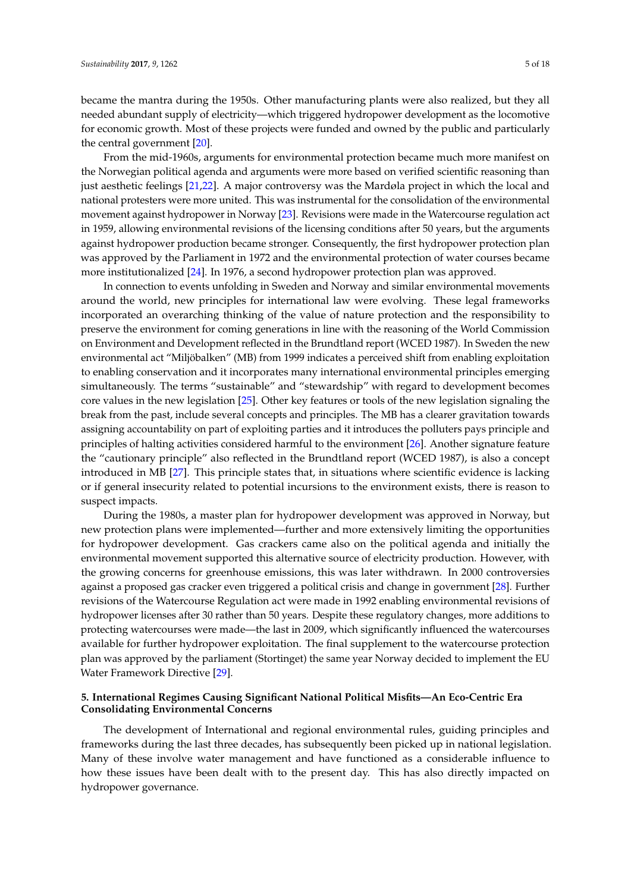became the mantra during the 1950s. Other manufacturing plants were also realized, but they all needed abundant supply of electricity—which triggered hydropower development as the locomotive for economic growth. Most of these projects were funded and owned by the public and particularly the central government [\[20\]](#page-15-19).

From the mid-1960s, arguments for environmental protection became much more manifest on the Norwegian political agenda and arguments were more based on verified scientific reasoning than just aesthetic feelings [\[21](#page-15-20)[,22\]](#page-16-0). A major controversy was the Mardøla project in which the local and national protesters were more united. This was instrumental for the consolidation of the environmental movement against hydropower in Norway [\[23\]](#page-16-1). Revisions were made in the Watercourse regulation act in 1959, allowing environmental revisions of the licensing conditions after 50 years, but the arguments against hydropower production became stronger. Consequently, the first hydropower protection plan was approved by the Parliament in 1972 and the environmental protection of water courses became more institutionalized [\[24\]](#page-16-2). In 1976, a second hydropower protection plan was approved.

In connection to events unfolding in Sweden and Norway and similar environmental movements around the world, new principles for international law were evolving. These legal frameworks incorporated an overarching thinking of the value of nature protection and the responsibility to preserve the environment for coming generations in line with the reasoning of the World Commission on Environment and Development reflected in the Brundtland report (WCED 1987). In Sweden the new environmental act "Miljöbalken" (MB) from 1999 indicates a perceived shift from enabling exploitation to enabling conservation and it incorporates many international environmental principles emerging simultaneously. The terms "sustainable" and "stewardship" with regard to development becomes core values in the new legislation [\[25\]](#page-16-3). Other key features or tools of the new legislation signaling the break from the past, include several concepts and principles. The MB has a clearer gravitation towards assigning accountability on part of exploiting parties and it introduces the polluters pays principle and principles of halting activities considered harmful to the environment [\[26\]](#page-16-4). Another signature feature the "cautionary principle" also reflected in the Brundtland report (WCED 1987), is also a concept introduced in MB [\[27\]](#page-16-5). This principle states that, in situations where scientific evidence is lacking or if general insecurity related to potential incursions to the environment exists, there is reason to suspect impacts.

During the 1980s, a master plan for hydropower development was approved in Norway, but new protection plans were implemented—further and more extensively limiting the opportunities for hydropower development. Gas crackers came also on the political agenda and initially the environmental movement supported this alternative source of electricity production. However, with the growing concerns for greenhouse emissions, this was later withdrawn. In 2000 controversies against a proposed gas cracker even triggered a political crisis and change in government [\[28\]](#page-16-6). Further revisions of the Watercourse Regulation act were made in 1992 enabling environmental revisions of hydropower licenses after 30 rather than 50 years. Despite these regulatory changes, more additions to protecting watercourses were made—the last in 2009, which significantly influenced the watercourses available for further hydropower exploitation. The final supplement to the watercourse protection plan was approved by the parliament (Stortinget) the same year Norway decided to implement the EU Water Framework Directive [\[29\]](#page-16-7).

#### **5. International Regimes Causing Significant National Political Misfits—An Eco-Centric Era Consolidating Environmental Concerns**

The development of International and regional environmental rules, guiding principles and frameworks during the last three decades, has subsequently been picked up in national legislation. Many of these involve water management and have functioned as a considerable influence to how these issues have been dealt with to the present day. This has also directly impacted on hydropower governance.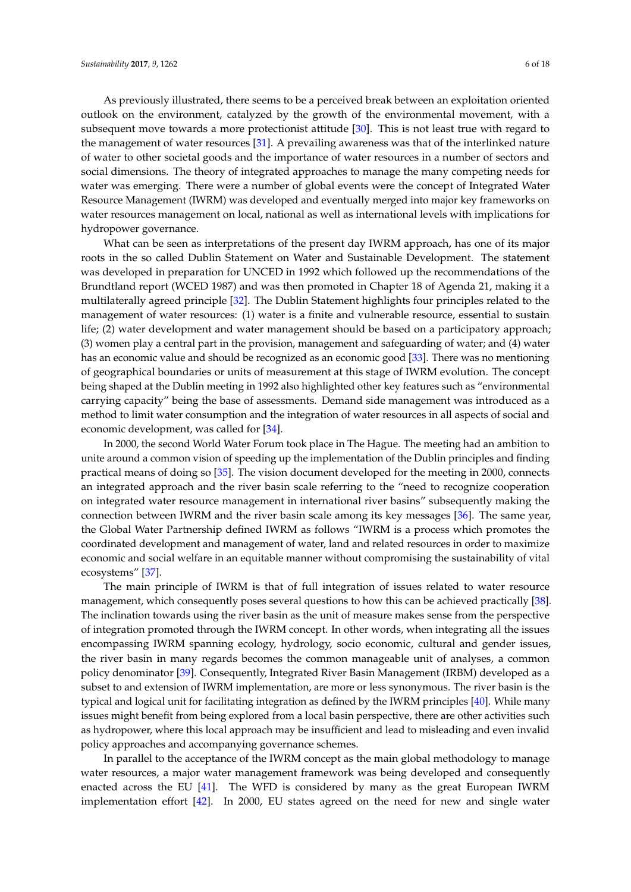As previously illustrated, there seems to be a perceived break between an exploitation oriented outlook on the environment, catalyzed by the growth of the environmental movement, with a subsequent move towards a more protectionist attitude [\[30\]](#page-16-8). This is not least true with regard to the management of water resources [\[31\]](#page-16-9). A prevailing awareness was that of the interlinked nature of water to other societal goods and the importance of water resources in a number of sectors and social dimensions. The theory of integrated approaches to manage the many competing needs for water was emerging. There were a number of global events were the concept of Integrated Water Resource Management (IWRM) was developed and eventually merged into major key frameworks on water resources management on local, national as well as international levels with implications for hydropower governance.

What can be seen as interpretations of the present day IWRM approach, has one of its major roots in the so called Dublin Statement on Water and Sustainable Development. The statement was developed in preparation for UNCED in 1992 which followed up the recommendations of the Brundtland report (WCED 1987) and was then promoted in Chapter 18 of Agenda 21, making it a multilaterally agreed principle [\[32\]](#page-16-10). The Dublin Statement highlights four principles related to the management of water resources: (1) water is a finite and vulnerable resource, essential to sustain life; (2) water development and water management should be based on a participatory approach; (3) women play a central part in the provision, management and safeguarding of water; and (4) water has an economic value and should be recognized as an economic good [\[33\]](#page-16-11). There was no mentioning of geographical boundaries or units of measurement at this stage of IWRM evolution. The concept being shaped at the Dublin meeting in 1992 also highlighted other key features such as "environmental carrying capacity" being the base of assessments. Demand side management was introduced as a method to limit water consumption and the integration of water resources in all aspects of social and economic development, was called for [\[34\]](#page-16-12).

In 2000, the second World Water Forum took place in The Hague. The meeting had an ambition to unite around a common vision of speeding up the implementation of the Dublin principles and finding practical means of doing so [\[35\]](#page-16-13). The vision document developed for the meeting in 2000, connects an integrated approach and the river basin scale referring to the "need to recognize cooperation on integrated water resource management in international river basins" subsequently making the connection between IWRM and the river basin scale among its key messages [\[36\]](#page-16-14). The same year, the Global Water Partnership defined IWRM as follows "IWRM is a process which promotes the coordinated development and management of water, land and related resources in order to maximize economic and social welfare in an equitable manner without compromising the sustainability of vital ecosystems" [\[37\]](#page-16-15).

The main principle of IWRM is that of full integration of issues related to water resource management, which consequently poses several questions to how this can be achieved practically [\[38\]](#page-16-16). The inclination towards using the river basin as the unit of measure makes sense from the perspective of integration promoted through the IWRM concept. In other words, when integrating all the issues encompassing IWRM spanning ecology, hydrology, socio economic, cultural and gender issues, the river basin in many regards becomes the common manageable unit of analyses, a common policy denominator [\[39\]](#page-16-17). Consequently, Integrated River Basin Management (IRBM) developed as a subset to and extension of IWRM implementation, are more or less synonymous. The river basin is the typical and logical unit for facilitating integration as defined by the IWRM principles [\[40\]](#page-16-18). While many issues might benefit from being explored from a local basin perspective, there are other activities such as hydropower, where this local approach may be insufficient and lead to misleading and even invalid policy approaches and accompanying governance schemes.

In parallel to the acceptance of the IWRM concept as the main global methodology to manage water resources, a major water management framework was being developed and consequently enacted across the EU [\[41\]](#page-16-19). The WFD is considered by many as the great European IWRM implementation effort [\[42\]](#page-16-20). In 2000, EU states agreed on the need for new and single water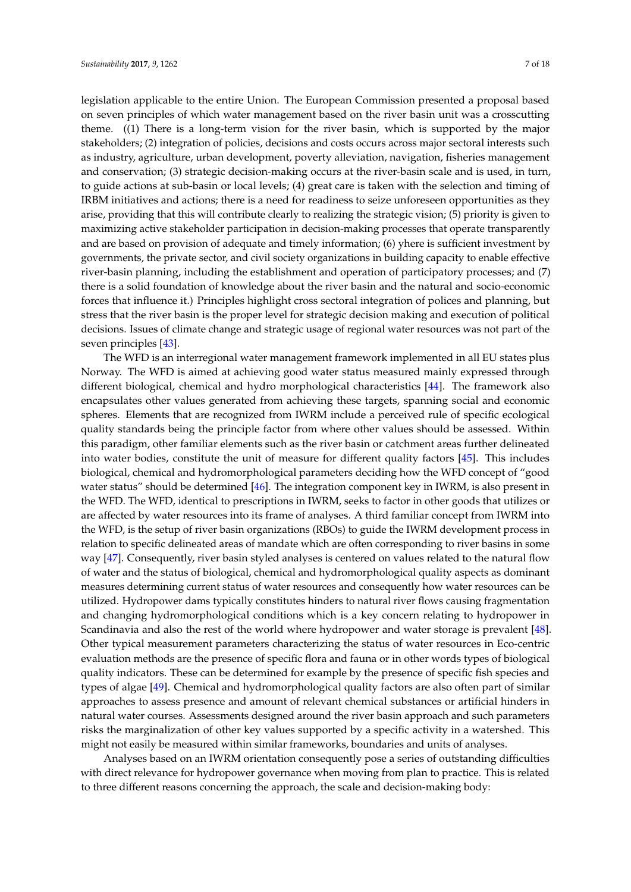legislation applicable to the entire Union. The European Commission presented a proposal based on seven principles of which water management based on the river basin unit was a crosscutting theme. ((1) There is a long-term vision for the river basin, which is supported by the major stakeholders; (2) integration of policies, decisions and costs occurs across major sectoral interests such as industry, agriculture, urban development, poverty alleviation, navigation, fisheries management and conservation; (3) strategic decision-making occurs at the river-basin scale and is used, in turn, to guide actions at sub-basin or local levels; (4) great care is taken with the selection and timing of IRBM initiatives and actions; there is a need for readiness to seize unforeseen opportunities as they arise, providing that this will contribute clearly to realizing the strategic vision; (5) priority is given to maximizing active stakeholder participation in decision-making processes that operate transparently and are based on provision of adequate and timely information; (6) yhere is sufficient investment by governments, the private sector, and civil society organizations in building capacity to enable effective river-basin planning, including the establishment and operation of participatory processes; and (7) there is a solid foundation of knowledge about the river basin and the natural and socio-economic forces that influence it.) Principles highlight cross sectoral integration of polices and planning, but stress that the river basin is the proper level for strategic decision making and execution of political decisions. Issues of climate change and strategic usage of regional water resources was not part of the seven principles [\[43\]](#page-16-21).

The WFD is an interregional water management framework implemented in all EU states plus Norway. The WFD is aimed at achieving good water status measured mainly expressed through different biological, chemical and hydro morphological characteristics [\[44\]](#page-16-22). The framework also encapsulates other values generated from achieving these targets, spanning social and economic spheres. Elements that are recognized from IWRM include a perceived rule of specific ecological quality standards being the principle factor from where other values should be assessed. Within this paradigm, other familiar elements such as the river basin or catchment areas further delineated into water bodies, constitute the unit of measure for different quality factors [\[45\]](#page-16-23). This includes biological, chemical and hydromorphological parameters deciding how the WFD concept of "good water status" should be determined [\[46\]](#page-17-0). The integration component key in IWRM, is also present in the WFD. The WFD, identical to prescriptions in IWRM, seeks to factor in other goods that utilizes or are affected by water resources into its frame of analyses. A third familiar concept from IWRM into the WFD, is the setup of river basin organizations (RBOs) to guide the IWRM development process in relation to specific delineated areas of mandate which are often corresponding to river basins in some way [\[47\]](#page-17-1). Consequently, river basin styled analyses is centered on values related to the natural flow of water and the status of biological, chemical and hydromorphological quality aspects as dominant measures determining current status of water resources and consequently how water resources can be utilized. Hydropower dams typically constitutes hinders to natural river flows causing fragmentation and changing hydromorphological conditions which is a key concern relating to hydropower in Scandinavia and also the rest of the world where hydropower and water storage is prevalent [\[48\]](#page-17-2). Other typical measurement parameters characterizing the status of water resources in Eco-centric evaluation methods are the presence of specific flora and fauna or in other words types of biological quality indicators. These can be determined for example by the presence of specific fish species and types of algae [\[49\]](#page-17-3). Chemical and hydromorphological quality factors are also often part of similar approaches to assess presence and amount of relevant chemical substances or artificial hinders in natural water courses. Assessments designed around the river basin approach and such parameters risks the marginalization of other key values supported by a specific activity in a watershed. This might not easily be measured within similar frameworks, boundaries and units of analyses.

Analyses based on an IWRM orientation consequently pose a series of outstanding difficulties with direct relevance for hydropower governance when moving from plan to practice. This is related to three different reasons concerning the approach, the scale and decision-making body: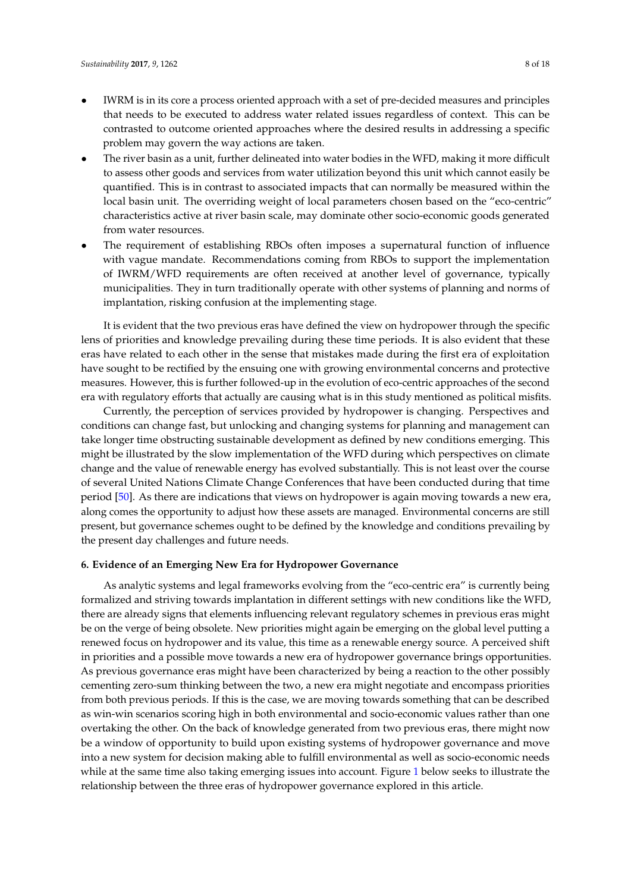- IWRM is in its core a process oriented approach with a set of pre-decided measures and principles that needs to be executed to address water related issues regardless of context. This can be contrasted to outcome oriented approaches where the desired results in addressing a specific problem may govern the way actions are taken.
- The river basin as a unit, further delineated into water bodies in the WFD, making it more difficult to assess other goods and services from water utilization beyond this unit which cannot easily be quantified. This is in contrast to associated impacts that can normally be measured within the local basin unit. The overriding weight of local parameters chosen based on the "eco-centric" characteristics active at river basin scale, may dominate other socio-economic goods generated from water resources.
- The requirement of establishing RBOs often imposes a supernatural function of influence with vague mandate. Recommendations coming from RBOs to support the implementation of IWRM/WFD requirements are often received at another level of governance, typically municipalities. They in turn traditionally operate with other systems of planning and norms of implantation, risking confusion at the implementing stage.

It is evident that the two previous eras have defined the view on hydropower through the specific lens of priorities and knowledge prevailing during these time periods. It is also evident that these eras have related to each other in the sense that mistakes made during the first era of exploitation have sought to be rectified by the ensuing one with growing environmental concerns and protective measures. However, this is further followed-up in the evolution of eco-centric approaches of the second era with regulatory efforts that actually are causing what is in this study mentioned as political misfits.

Currently, the perception of services provided by hydropower is changing. Perspectives and conditions can change fast, but unlocking and changing systems for planning and management can take longer time obstructing sustainable development as defined by new conditions emerging. This might be illustrated by the slow implementation of the WFD during which perspectives on climate change and the value of renewable energy has evolved substantially. This is not least over the course of several United Nations Climate Change Conferences that have been conducted during that time period [\[50\]](#page-17-4). As there are indications that views on hydropower is again moving towards a new era, along comes the opportunity to adjust how these assets are managed. Environmental concerns are still present, but governance schemes ought to be defined by the knowledge and conditions prevailing by the present day challenges and future needs.

#### **6. Evidence of an Emerging New Era for Hydropower Governance**

As analytic systems and legal frameworks evolving from the "eco-centric era" is currently being formalized and striving towards implantation in different settings with new conditions like the WFD, there are already signs that elements influencing relevant regulatory schemes in previous eras might be on the verge of being obsolete. New priorities might again be emerging on the global level putting a renewed focus on hydropower and its value, this time as a renewable energy source. A perceived shift in priorities and a possible move towards a new era of hydropower governance brings opportunities. As previous governance eras might have been characterized by being a reaction to the other possibly cementing zero-sum thinking between the two, a new era might negotiate and encompass priorities from both previous periods. If this is the case, we are moving towards something that can be described as win-win scenarios scoring high in both environmental and socio-economic values rather than one overtaking the other. On the back of knowledge generated from two previous eras, there might now be a window of opportunity to build upon existing systems of hydropower governance and move into a new system for decision making able to fulfill environmental as well as socio-economic needs while at the same time also taking emerging issues into account. Figure [1](#page-8-0) below seeks to illustrate the relationship between the three eras of hydropower governance explored in this article.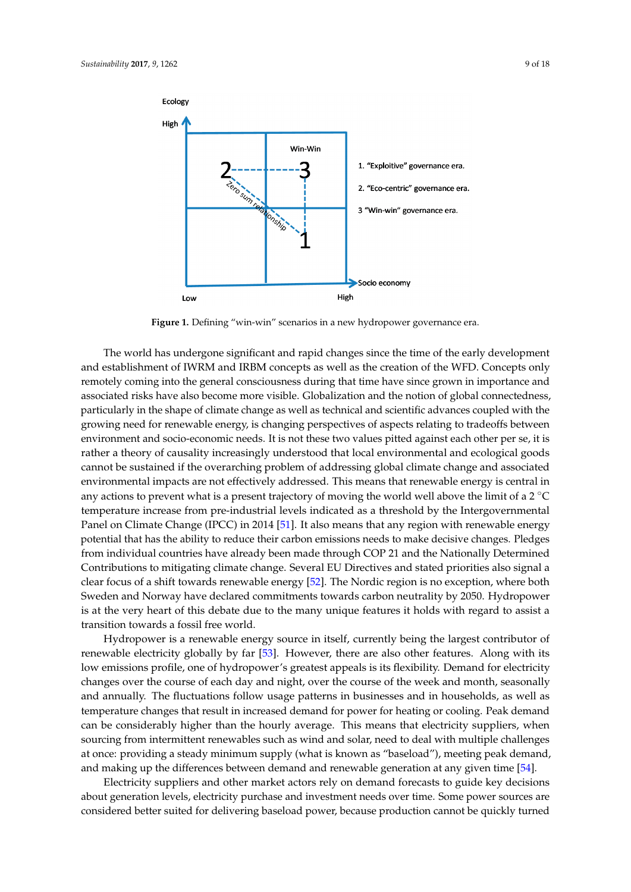<span id="page-8-0"></span>

**Figure 1.** Defining "win-win" scenarios in a new hydropower governance era. **Figure 1.** Defining "win-win" scenarios in a new hydropower governance era.

The world has undergone significant and rapid changes since the time of the early development The world has undergone significant and rapid changes since the time of the early development and establishment of IWRM and IRBM concepts as well as the creation of the WFD. Concepts only and establishment of IWRM and IRBM concepts as well as the creation of the WFD. Concepts only remotely coming into the general consciousness during that time have since grown in importance and associated risks have also become more visible. Globalization and the notion of global connectedness, particularly in the shape of climate change as well as technical and scientific advances coupled with the growing need for renewable energy, is changing perspectives of aspects relating to tradeoffs between environment and socio-economic needs. It is not these two values pitted against each other per se, it is rather a theory of causality increasingly understood that local environmental and ecological goods cannot be sustained if the overarching problem of addressing global climate change and associated environmental impacts are not effectively addressed. This means that renewable energy is central in any actions to prevent what is a present trajectory of moving the world well above the limit of a 2  $^{\circ}$ C temperature increase from pre-industrial levels indicated as a threshold by the Intergovernmental Panel on Climate Change (IPCC) in 2014 [\[51\]](#page-17-5). It also means that any region with renewable energy potential that has the ability to reduce their carbon emissions needs to make decisive changes. Pledges from individual countries have already been made through COP 21 and the Nationally Determined Contributions to mitigating climate change. Several EU Directives and stated priorities also signal a clear focus of a shift towards renewable energy [\[52\]](#page-17-6). The Nordic region is no exception, where both Sweden and Norway have declared commitments towards carbon neutrality by 2050. Hydropower is at the very heart of this debate due to the many unique features it holds with regard to assist a transition towards a fossil free world.

Hydropower is a renewable energy source in itself, currently being the largest contributor of renewable electricity globally by far [\[53\]](#page-17-7). However, there are also other features. Along with its low emissions profile, one of hydropower's greatest appeals is its flexibility. Demand for electricity changes over the course of each day and night, over the course of the week and month, seasonally and annually. The fluctuations follow usage patterns in businesses and in households, as well as temperature changes that result in increased demand for power for heating or cooling. Peak demand can be considerably higher than the hourly average. This means that electricity suppliers, when sourcing from intermittent renewables such as wind and solar, need to deal with multiple challenges at once: providing a steady minimum supply (what is known as "baseload"), meeting peak demand, and making up the differences between demand and renewable generation at any given time [\[54\]](#page-17-8).

Electricity suppliers and other market actors rely on demand forecasts to guide key decisions about generation levels, electricity purchase and investment needs over time. Some power sources are about generation levels and investment purchase and investment needs over the constraints of the power sources are considered better suited for delivering baseload power, because production cannot be quickly considered better suited for delivering baseload power, because production cannot be quickly turned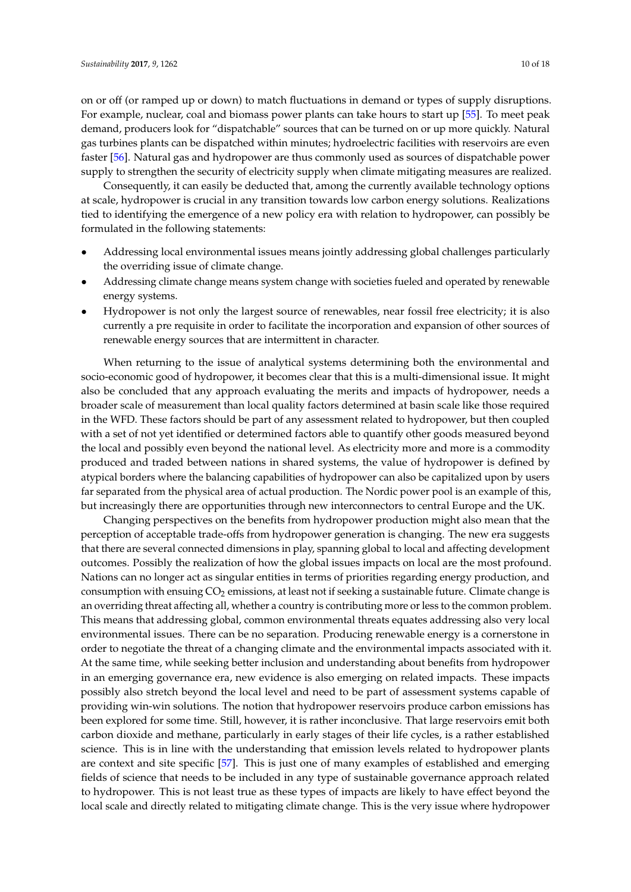on or off (or ramped up or down) to match fluctuations in demand or types of supply disruptions. For example, nuclear, coal and biomass power plants can take hours to start up [\[55\]](#page-17-9). To meet peak demand, producers look for "dispatchable" sources that can be turned on or up more quickly. Natural gas turbines plants can be dispatched within minutes; hydroelectric facilities with reservoirs are even faster [\[56\]](#page-17-10). Natural gas and hydropower are thus commonly used as sources of dispatchable power supply to strengthen the security of electricity supply when climate mitigating measures are realized.

Consequently, it can easily be deducted that, among the currently available technology options at scale, hydropower is crucial in any transition towards low carbon energy solutions. Realizations tied to identifying the emergence of a new policy era with relation to hydropower, can possibly be formulated in the following statements:

- Addressing local environmental issues means jointly addressing global challenges particularly the overriding issue of climate change.
- Addressing climate change means system change with societies fueled and operated by renewable energy systems.
- Hydropower is not only the largest source of renewables, near fossil free electricity; it is also currently a pre requisite in order to facilitate the incorporation and expansion of other sources of renewable energy sources that are intermittent in character.

When returning to the issue of analytical systems determining both the environmental and socio-economic good of hydropower, it becomes clear that this is a multi-dimensional issue. It might also be concluded that any approach evaluating the merits and impacts of hydropower, needs a broader scale of measurement than local quality factors determined at basin scale like those required in the WFD. These factors should be part of any assessment related to hydropower, but then coupled with a set of not yet identified or determined factors able to quantify other goods measured beyond the local and possibly even beyond the national level. As electricity more and more is a commodity produced and traded between nations in shared systems, the value of hydropower is defined by atypical borders where the balancing capabilities of hydropower can also be capitalized upon by users far separated from the physical area of actual production. The Nordic power pool is an example of this, but increasingly there are opportunities through new interconnectors to central Europe and the UK.

Changing perspectives on the benefits from hydropower production might also mean that the perception of acceptable trade-offs from hydropower generation is changing. The new era suggests that there are several connected dimensions in play, spanning global to local and affecting development outcomes. Possibly the realization of how the global issues impacts on local are the most profound. Nations can no longer act as singular entities in terms of priorities regarding energy production, and consumption with ensuing  $CO<sub>2</sub>$  emissions, at least not if seeking a sustainable future. Climate change is an overriding threat affecting all, whether a country is contributing more or less to the common problem. This means that addressing global, common environmental threats equates addressing also very local environmental issues. There can be no separation. Producing renewable energy is a cornerstone in order to negotiate the threat of a changing climate and the environmental impacts associated with it. At the same time, while seeking better inclusion and understanding about benefits from hydropower in an emerging governance era, new evidence is also emerging on related impacts. These impacts possibly also stretch beyond the local level and need to be part of assessment systems capable of providing win-win solutions. The notion that hydropower reservoirs produce carbon emissions has been explored for some time. Still, however, it is rather inconclusive. That large reservoirs emit both carbon dioxide and methane, particularly in early stages of their life cycles, is a rather established science. This is in line with the understanding that emission levels related to hydropower plants are context and site specific [\[57\]](#page-17-11). This is just one of many examples of established and emerging fields of science that needs to be included in any type of sustainable governance approach related to hydropower. This is not least true as these types of impacts are likely to have effect beyond the local scale and directly related to mitigating climate change. This is the very issue where hydropower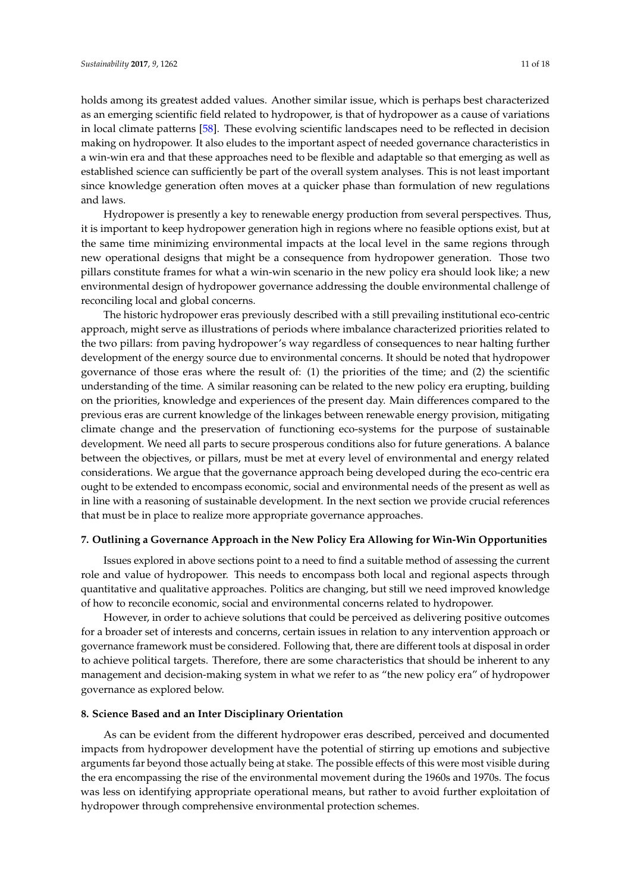holds among its greatest added values. Another similar issue, which is perhaps best characterized as an emerging scientific field related to hydropower, is that of hydropower as a cause of variations in local climate patterns [\[58\]](#page-17-12). These evolving scientific landscapes need to be reflected in decision making on hydropower. It also eludes to the important aspect of needed governance characteristics in a win-win era and that these approaches need to be flexible and adaptable so that emerging as well as established science can sufficiently be part of the overall system analyses. This is not least important since knowledge generation often moves at a quicker phase than formulation of new regulations and laws.

Hydropower is presently a key to renewable energy production from several perspectives. Thus, it is important to keep hydropower generation high in regions where no feasible options exist, but at the same time minimizing environmental impacts at the local level in the same regions through new operational designs that might be a consequence from hydropower generation. Those two pillars constitute frames for what a win-win scenario in the new policy era should look like; a new environmental design of hydropower governance addressing the double environmental challenge of reconciling local and global concerns.

The historic hydropower eras previously described with a still prevailing institutional eco-centric approach, might serve as illustrations of periods where imbalance characterized priorities related to the two pillars: from paving hydropower's way regardless of consequences to near halting further development of the energy source due to environmental concerns. It should be noted that hydropower governance of those eras where the result of: (1) the priorities of the time; and (2) the scientific understanding of the time. A similar reasoning can be related to the new policy era erupting, building on the priorities, knowledge and experiences of the present day. Main differences compared to the previous eras are current knowledge of the linkages between renewable energy provision, mitigating climate change and the preservation of functioning eco-systems for the purpose of sustainable development. We need all parts to secure prosperous conditions also for future generations. A balance between the objectives, or pillars, must be met at every level of environmental and energy related considerations. We argue that the governance approach being developed during the eco-centric era ought to be extended to encompass economic, social and environmental needs of the present as well as in line with a reasoning of sustainable development. In the next section we provide crucial references that must be in place to realize more appropriate governance approaches.

### **7. Outlining a Governance Approach in the New Policy Era Allowing for Win-Win Opportunities**

Issues explored in above sections point to a need to find a suitable method of assessing the current role and value of hydropower. This needs to encompass both local and regional aspects through quantitative and qualitative approaches. Politics are changing, but still we need improved knowledge of how to reconcile economic, social and environmental concerns related to hydropower.

However, in order to achieve solutions that could be perceived as delivering positive outcomes for a broader set of interests and concerns, certain issues in relation to any intervention approach or governance framework must be considered. Following that, there are different tools at disposal in order to achieve political targets. Therefore, there are some characteristics that should be inherent to any management and decision-making system in what we refer to as "the new policy era" of hydropower governance as explored below.

## **8. Science Based and an Inter Disciplinary Orientation**

As can be evident from the different hydropower eras described, perceived and documented impacts from hydropower development have the potential of stirring up emotions and subjective arguments far beyond those actually being at stake. The possible effects of this were most visible during the era encompassing the rise of the environmental movement during the 1960s and 1970s. The focus was less on identifying appropriate operational means, but rather to avoid further exploitation of hydropower through comprehensive environmental protection schemes.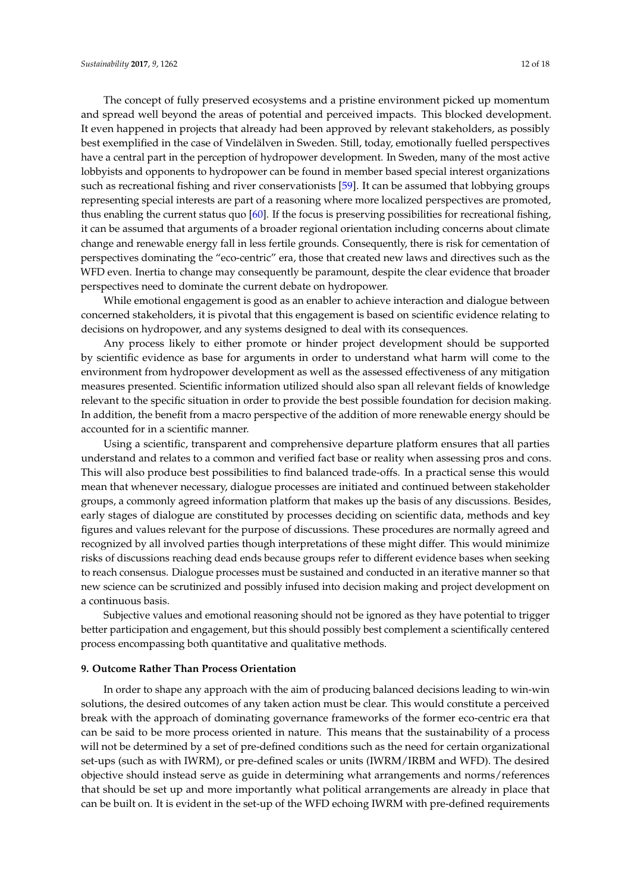The concept of fully preserved ecosystems and a pristine environment picked up momentum and spread well beyond the areas of potential and perceived impacts. This blocked development. It even happened in projects that already had been approved by relevant stakeholders, as possibly best exemplified in the case of Vindelälven in Sweden. Still, today, emotionally fuelled perspectives have a central part in the perception of hydropower development. In Sweden, many of the most active lobbyists and opponents to hydropower can be found in member based special interest organizations such as recreational fishing and river conservationists [\[59\]](#page-17-13). It can be assumed that lobbying groups representing special interests are part of a reasoning where more localized perspectives are promoted, thus enabling the current status quo [\[60\]](#page-17-14). If the focus is preserving possibilities for recreational fishing, it can be assumed that arguments of a broader regional orientation including concerns about climate change and renewable energy fall in less fertile grounds. Consequently, there is risk for cementation of perspectives dominating the "eco-centric" era, those that created new laws and directives such as the WFD even. Inertia to change may consequently be paramount, despite the clear evidence that broader perspectives need to dominate the current debate on hydropower.

While emotional engagement is good as an enabler to achieve interaction and dialogue between concerned stakeholders, it is pivotal that this engagement is based on scientific evidence relating to decisions on hydropower, and any systems designed to deal with its consequences.

Any process likely to either promote or hinder project development should be supported by scientific evidence as base for arguments in order to understand what harm will come to the environment from hydropower development as well as the assessed effectiveness of any mitigation measures presented. Scientific information utilized should also span all relevant fields of knowledge relevant to the specific situation in order to provide the best possible foundation for decision making. In addition, the benefit from a macro perspective of the addition of more renewable energy should be accounted for in a scientific manner.

Using a scientific, transparent and comprehensive departure platform ensures that all parties understand and relates to a common and verified fact base or reality when assessing pros and cons. This will also produce best possibilities to find balanced trade-offs. In a practical sense this would mean that whenever necessary, dialogue processes are initiated and continued between stakeholder groups, a commonly agreed information platform that makes up the basis of any discussions. Besides, early stages of dialogue are constituted by processes deciding on scientific data, methods and key figures and values relevant for the purpose of discussions. These procedures are normally agreed and recognized by all involved parties though interpretations of these might differ. This would minimize risks of discussions reaching dead ends because groups refer to different evidence bases when seeking to reach consensus. Dialogue processes must be sustained and conducted in an iterative manner so that new science can be scrutinized and possibly infused into decision making and project development on a continuous basis.

Subjective values and emotional reasoning should not be ignored as they have potential to trigger better participation and engagement, but this should possibly best complement a scientifically centered process encompassing both quantitative and qualitative methods.

#### **9. Outcome Rather Than Process Orientation**

In order to shape any approach with the aim of producing balanced decisions leading to win-win solutions, the desired outcomes of any taken action must be clear. This would constitute a perceived break with the approach of dominating governance frameworks of the former eco-centric era that can be said to be more process oriented in nature. This means that the sustainability of a process will not be determined by a set of pre-defined conditions such as the need for certain organizational set-ups (such as with IWRM), or pre-defined scales or units (IWRM/IRBM and WFD). The desired objective should instead serve as guide in determining what arrangements and norms/references that should be set up and more importantly what political arrangements are already in place that can be built on. It is evident in the set-up of the WFD echoing IWRM with pre-defined requirements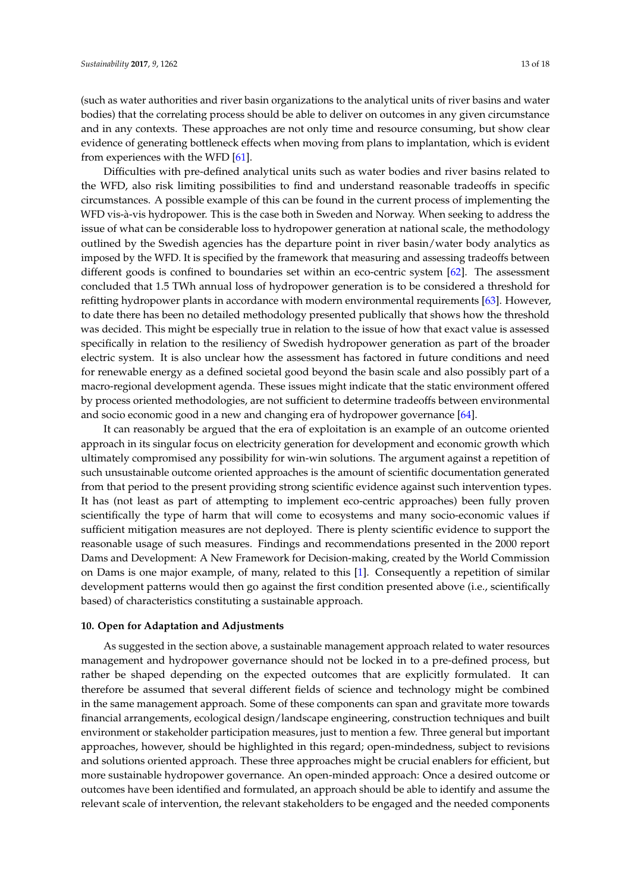(such as water authorities and river basin organizations to the analytical units of river basins and water bodies) that the correlating process should be able to deliver on outcomes in any given circumstance and in any contexts. These approaches are not only time and resource consuming, but show clear evidence of generating bottleneck effects when moving from plans to implantation, which is evident from experiences with the WFD [\[61\]](#page-17-15).

Difficulties with pre-defined analytical units such as water bodies and river basins related to the WFD, also risk limiting possibilities to find and understand reasonable tradeoffs in specific circumstances. A possible example of this can be found in the current process of implementing the WFD vis-à-vis hydropower. This is the case both in Sweden and Norway. When seeking to address the issue of what can be considerable loss to hydropower generation at national scale, the methodology outlined by the Swedish agencies has the departure point in river basin/water body analytics as imposed by the WFD. It is specified by the framework that measuring and assessing tradeoffs between different goods is confined to boundaries set within an eco-centric system [\[62\]](#page-17-16). The assessment concluded that 1.5 TWh annual loss of hydropower generation is to be considered a threshold for refitting hydropower plants in accordance with modern environmental requirements [\[63\]](#page-17-17). However, to date there has been no detailed methodology presented publically that shows how the threshold was decided. This might be especially true in relation to the issue of how that exact value is assessed specifically in relation to the resiliency of Swedish hydropower generation as part of the broader electric system. It is also unclear how the assessment has factored in future conditions and need for renewable energy as a defined societal good beyond the basin scale and also possibly part of a macro-regional development agenda. These issues might indicate that the static environment offered by process oriented methodologies, are not sufficient to determine tradeoffs between environmental and socio economic good in a new and changing era of hydropower governance [\[64\]](#page-17-18).

It can reasonably be argued that the era of exploitation is an example of an outcome oriented approach in its singular focus on electricity generation for development and economic growth which ultimately compromised any possibility for win-win solutions. The argument against a repetition of such unsustainable outcome oriented approaches is the amount of scientific documentation generated from that period to the present providing strong scientific evidence against such intervention types. It has (not least as part of attempting to implement eco-centric approaches) been fully proven scientifically the type of harm that will come to ecosystems and many socio-economic values if sufficient mitigation measures are not deployed. There is plenty scientific evidence to support the reasonable usage of such measures. Findings and recommendations presented in the 2000 report Dams and Development: A New Framework for Decision-making, created by the World Commission on Dams is one major example, of many, related to this [\[1\]](#page-15-0). Consequently a repetition of similar development patterns would then go against the first condition presented above (i.e., scientifically based) of characteristics constituting a sustainable approach.

#### **10. Open for Adaptation and Adjustments**

As suggested in the section above, a sustainable management approach related to water resources management and hydropower governance should not be locked in to a pre-defined process, but rather be shaped depending on the expected outcomes that are explicitly formulated. It can therefore be assumed that several different fields of science and technology might be combined in the same management approach. Some of these components can span and gravitate more towards financial arrangements, ecological design/landscape engineering, construction techniques and built environment or stakeholder participation measures, just to mention a few. Three general but important approaches, however, should be highlighted in this regard; open-mindedness, subject to revisions and solutions oriented approach. These three approaches might be crucial enablers for efficient, but more sustainable hydropower governance. An open-minded approach: Once a desired outcome or outcomes have been identified and formulated, an approach should be able to identify and assume the relevant scale of intervention, the relevant stakeholders to be engaged and the needed components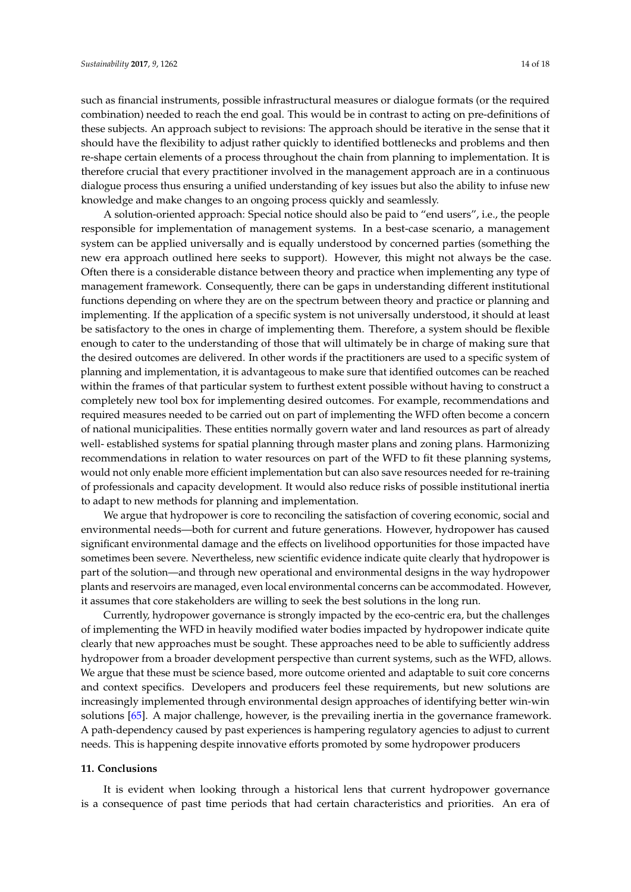such as financial instruments, possible infrastructural measures or dialogue formats (or the required combination) needed to reach the end goal. This would be in contrast to acting on pre-definitions of these subjects. An approach subject to revisions: The approach should be iterative in the sense that it should have the flexibility to adjust rather quickly to identified bottlenecks and problems and then re-shape certain elements of a process throughout the chain from planning to implementation. It is therefore crucial that every practitioner involved in the management approach are in a continuous dialogue process thus ensuring a unified understanding of key issues but also the ability to infuse new knowledge and make changes to an ongoing process quickly and seamlessly.

A solution-oriented approach: Special notice should also be paid to "end users", i.e., the people responsible for implementation of management systems. In a best-case scenario, a management system can be applied universally and is equally understood by concerned parties (something the new era approach outlined here seeks to support). However, this might not always be the case. Often there is a considerable distance between theory and practice when implementing any type of management framework. Consequently, there can be gaps in understanding different institutional functions depending on where they are on the spectrum between theory and practice or planning and implementing. If the application of a specific system is not universally understood, it should at least be satisfactory to the ones in charge of implementing them. Therefore, a system should be flexible enough to cater to the understanding of those that will ultimately be in charge of making sure that the desired outcomes are delivered. In other words if the practitioners are used to a specific system of planning and implementation, it is advantageous to make sure that identified outcomes can be reached within the frames of that particular system to furthest extent possible without having to construct a completely new tool box for implementing desired outcomes. For example, recommendations and required measures needed to be carried out on part of implementing the WFD often become a concern of national municipalities. These entities normally govern water and land resources as part of already well- established systems for spatial planning through master plans and zoning plans. Harmonizing recommendations in relation to water resources on part of the WFD to fit these planning systems, would not only enable more efficient implementation but can also save resources needed for re-training of professionals and capacity development. It would also reduce risks of possible institutional inertia to adapt to new methods for planning and implementation.

We argue that hydropower is core to reconciling the satisfaction of covering economic, social and environmental needs—both for current and future generations. However, hydropower has caused significant environmental damage and the effects on livelihood opportunities for those impacted have sometimes been severe. Nevertheless, new scientific evidence indicate quite clearly that hydropower is part of the solution—and through new operational and environmental designs in the way hydropower plants and reservoirs are managed, even local environmental concerns can be accommodated. However, it assumes that core stakeholders are willing to seek the best solutions in the long run.

Currently, hydropower governance is strongly impacted by the eco-centric era, but the challenges of implementing the WFD in heavily modified water bodies impacted by hydropower indicate quite clearly that new approaches must be sought. These approaches need to be able to sufficiently address hydropower from a broader development perspective than current systems, such as the WFD, allows. We argue that these must be science based, more outcome oriented and adaptable to suit core concerns and context specifics. Developers and producers feel these requirements, but new solutions are increasingly implemented through environmental design approaches of identifying better win-win solutions [\[65\]](#page-17-19). A major challenge, however, is the prevailing inertia in the governance framework. A path-dependency caused by past experiences is hampering regulatory agencies to adjust to current needs. This is happening despite innovative efforts promoted by some hydropower producers

### **11. Conclusions**

It is evident when looking through a historical lens that current hydropower governance is a consequence of past time periods that had certain characteristics and priorities. An era of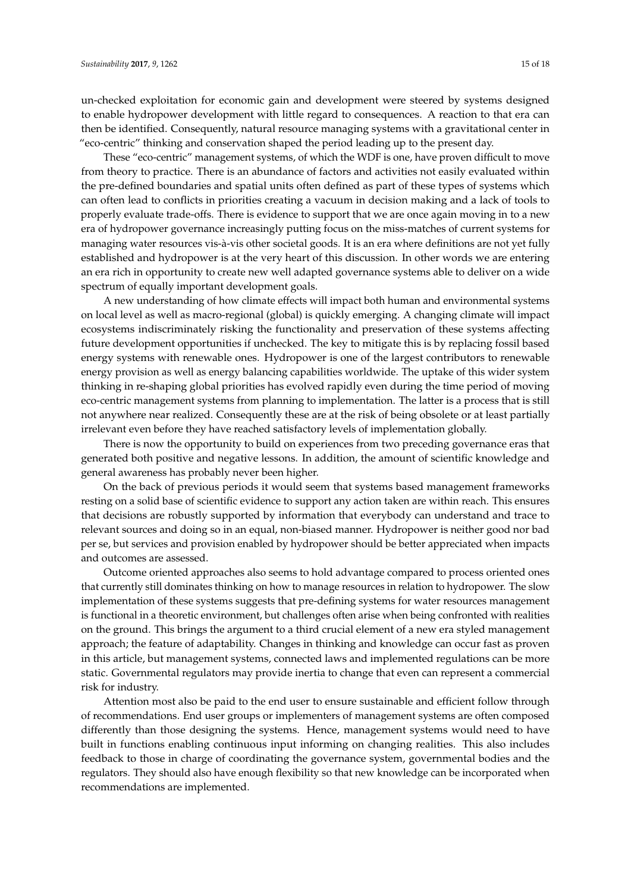un-checked exploitation for economic gain and development were steered by systems designed to enable hydropower development with little regard to consequences. A reaction to that era can then be identified. Consequently, natural resource managing systems with a gravitational center in "eco-centric" thinking and conservation shaped the period leading up to the present day.

These "eco-centric" management systems, of which the WDF is one, have proven difficult to move from theory to practice. There is an abundance of factors and activities not easily evaluated within the pre-defined boundaries and spatial units often defined as part of these types of systems which can often lead to conflicts in priorities creating a vacuum in decision making and a lack of tools to properly evaluate trade-offs. There is evidence to support that we are once again moving in to a new era of hydropower governance increasingly putting focus on the miss-matches of current systems for managing water resources vis-à-vis other societal goods. It is an era where definitions are not yet fully established and hydropower is at the very heart of this discussion. In other words we are entering an era rich in opportunity to create new well adapted governance systems able to deliver on a wide spectrum of equally important development goals.

A new understanding of how climate effects will impact both human and environmental systems on local level as well as macro-regional (global) is quickly emerging. A changing climate will impact ecosystems indiscriminately risking the functionality and preservation of these systems affecting future development opportunities if unchecked. The key to mitigate this is by replacing fossil based energy systems with renewable ones. Hydropower is one of the largest contributors to renewable energy provision as well as energy balancing capabilities worldwide. The uptake of this wider system thinking in re-shaping global priorities has evolved rapidly even during the time period of moving eco-centric management systems from planning to implementation. The latter is a process that is still not anywhere near realized. Consequently these are at the risk of being obsolete or at least partially irrelevant even before they have reached satisfactory levels of implementation globally.

There is now the opportunity to build on experiences from two preceding governance eras that generated both positive and negative lessons. In addition, the amount of scientific knowledge and general awareness has probably never been higher.

On the back of previous periods it would seem that systems based management frameworks resting on a solid base of scientific evidence to support any action taken are within reach. This ensures that decisions are robustly supported by information that everybody can understand and trace to relevant sources and doing so in an equal, non-biased manner. Hydropower is neither good nor bad per se, but services and provision enabled by hydropower should be better appreciated when impacts and outcomes are assessed.

Outcome oriented approaches also seems to hold advantage compared to process oriented ones that currently still dominates thinking on how to manage resources in relation to hydropower. The slow implementation of these systems suggests that pre-defining systems for water resources management is functional in a theoretic environment, but challenges often arise when being confronted with realities on the ground. This brings the argument to a third crucial element of a new era styled management approach; the feature of adaptability. Changes in thinking and knowledge can occur fast as proven in this article, but management systems, connected laws and implemented regulations can be more static. Governmental regulators may provide inertia to change that even can represent a commercial risk for industry.

Attention most also be paid to the end user to ensure sustainable and efficient follow through of recommendations. End user groups or implementers of management systems are often composed differently than those designing the systems. Hence, management systems would need to have built in functions enabling continuous input informing on changing realities. This also includes feedback to those in charge of coordinating the governance system, governmental bodies and the regulators. They should also have enough flexibility so that new knowledge can be incorporated when recommendations are implemented.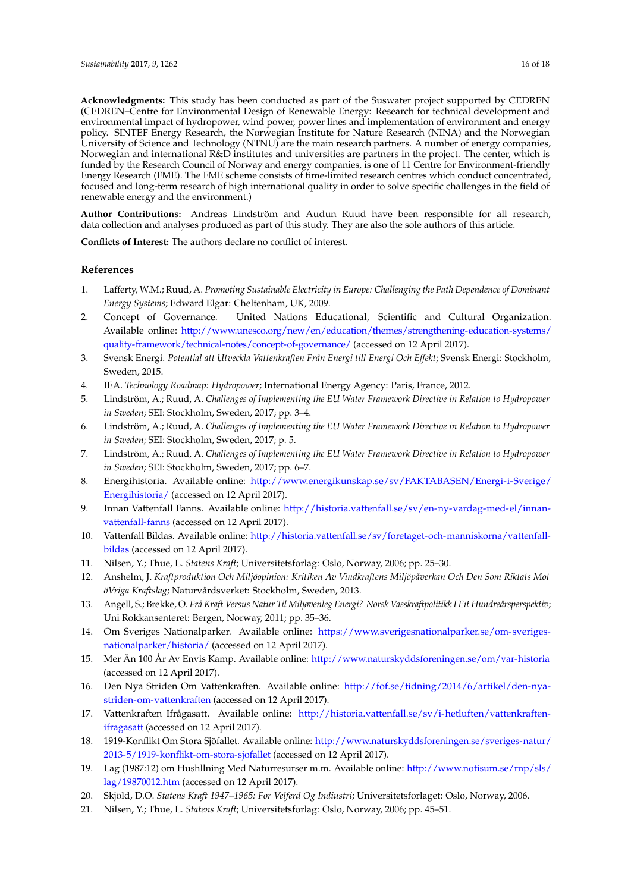**Acknowledgments:** This study has been conducted as part of the Suswater project supported by CEDREN (CEDREN–Centre for Environmental Design of Renewable Energy: Research for technical development and environmental impact of hydropower, wind power, power lines and implementation of environment and energy policy. SINTEF Energy Research, the Norwegian Institute for Nature Research (NINA) and the Norwegian University of Science and Technology (NTNU) are the main research partners. A number of energy companies, Norwegian and international R&D institutes and universities are partners in the project. The center, which is funded by the Research Council of Norway and energy companies, is one of 11 Centre for Environment-friendly Energy Research (FME). The FME scheme consists of time-limited research centres which conduct concentrated, focused and long-term research of high international quality in order to solve specific challenges in the field of renewable energy and the environment.)

**Author Contributions:** Andreas Lindström and Audun Ruud have been responsible for all research, data collection and analyses produced as part of this study. They are also the sole authors of this article.

**Conflicts of Interest:** The authors declare no conflict of interest.

## **References**

- <span id="page-15-0"></span>1. Lafferty, W.M.; Ruud, A. *Promoting Sustainable Electricity in Europe: Challenging the Path Dependence of Dominant Energy Systems*; Edward Elgar: Cheltenham, UK, 2009.
- <span id="page-15-1"></span>2. Concept of Governance. United Nations Educational, Scientific and Cultural Organization. Available online: [http://www.unesco.org/new/en/education/themes/strengthening-education-systems/](http://www.unesco.org/new/en/education/themes/strengthening-education-systems/quality-framework/technical-notes/concept-of-governance/) [quality-framework/technical-notes/concept-of-governance/](http://www.unesco.org/new/en/education/themes/strengthening-education-systems/quality-framework/technical-notes/concept-of-governance/) (accessed on 12 April 2017).
- <span id="page-15-2"></span>3. Svensk Energi. *Potential att Utveckla Vattenkraften Från Energi till Energi Och Effekt*; Svensk Energi: Stockholm, Sweden, 2015.
- <span id="page-15-3"></span>4. IEA. *Technology Roadmap: Hydropower*; International Energy Agency: Paris, France, 2012.
- <span id="page-15-4"></span>5. Lindström, A.; Ruud, A. *Challenges of Implementing the EU Water Framework Directive in Relation to Hydropower in Sweden*; SEI: Stockholm, Sweden, 2017; pp. 3–4.
- <span id="page-15-5"></span>6. Lindström, A.; Ruud, A. *Challenges of Implementing the EU Water Framework Directive in Relation to Hydropower in Sweden*; SEI: Stockholm, Sweden, 2017; p. 5.
- <span id="page-15-6"></span>7. Lindström, A.; Ruud, A. *Challenges of Implementing the EU Water Framework Directive in Relation to Hydropower in Sweden*; SEI: Stockholm, Sweden, 2017; pp. 6–7.
- <span id="page-15-7"></span>8. Energihistoria. Available online: [http://www.energikunskap.se/sv/FAKTABASEN/Energi-i-Sverige/](http://www.energikunskap.se/sv/FAKTABASEN/Energi-i-Sverige/Energihistoria/) [Energihistoria/](http://www.energikunskap.se/sv/FAKTABASEN/Energi-i-Sverige/Energihistoria/) (accessed on 12 April 2017).
- <span id="page-15-8"></span>9. Innan Vattenfall Fanns. Available online: [http://historia.vattenfall.se/sv/en-ny-vardag-med-el/innan](http://historia.vattenfall.se/sv/en-ny-vardag-med-el/innan-vattenfall-fanns)[vattenfall-fanns](http://historia.vattenfall.se/sv/en-ny-vardag-med-el/innan-vattenfall-fanns) (accessed on 12 April 2017).
- <span id="page-15-9"></span>10. Vattenfall Bildas. Available online: [http://historia.vattenfall.se/sv/foretaget-och-manniskorna/vattenfall](http://historia.vattenfall.se/sv/foretaget-och-manniskorna/vattenfall-bildas)[bildas](http://historia.vattenfall.se/sv/foretaget-och-manniskorna/vattenfall-bildas) (accessed on 12 April 2017).
- <span id="page-15-10"></span>11. Nilsen, Y.; Thue, L. *Statens Kraft*; Universitetsforlag: Oslo, Norway, 2006; pp. 25–30.
- <span id="page-15-11"></span>12. Anshelm, J. *Kraftproduktion Och Miljöopinion: Kritiken Av Vindkraftens Miljöpåverkan Och Den Som Riktats Mot öVriga Kraftslag*; Naturvårdsverket: Stockholm, Sweden, 2013.
- <span id="page-15-12"></span>13. Angell, S.; Brekke, O. *Frå Kraft Versus Natur Til Miljøvenleg Energi? Norsk Vasskraftpolitikk I Eit Hundreårsperspektiv*; Uni Rokkansenteret: Bergen, Norway, 2011; pp. 35–36.
- <span id="page-15-13"></span>14. Om Sveriges Nationalparker. Available online: [https://www.sverigesnationalparker.se/om-sveriges](https://www.sverigesnationalparker.se/om-sveriges-nationalparker/historia/)[nationalparker/historia/](https://www.sverigesnationalparker.se/om-sveriges-nationalparker/historia/) (accessed on 12 April 2017).
- <span id="page-15-14"></span>15. Mer Än 100 År Av Envis Kamp. Available online: <http://www.naturskyddsforeningen.se/om/var-historia> (accessed on 12 April 2017).
- <span id="page-15-15"></span>16. Den Nya Striden Om Vattenkraften. Available online: [http://fof.se/tidning/2014/6/artikel/den-nya](http://fof.se/tidning/2014/6/artikel/den-nya-striden-om-vattenkraften)[striden-om-vattenkraften](http://fof.se/tidning/2014/6/artikel/den-nya-striden-om-vattenkraften) (accessed on 12 April 2017).
- <span id="page-15-16"></span>17. Vattenkraften Ifrågasatt. Available online: [http://historia.vattenfall.se/sv/i-hetluften/vattenkraften](http://historia.vattenfall.se/sv/i-hetluften/vattenkraften-ifragasatt)[ifragasatt](http://historia.vattenfall.se/sv/i-hetluften/vattenkraften-ifragasatt) (accessed on 12 April 2017).
- <span id="page-15-17"></span>18. 1919-Konflikt Om Stora Sjöfallet. Available online: [http://www.naturskyddsforeningen.se/sveriges-natur/](http://www.naturskyddsforeningen.se/sveriges-natur/2013-5/1919-konflikt-om-stora-sjofallet) [2013-5/1919-konflikt-om-stora-sjofallet](http://www.naturskyddsforeningen.se/sveriges-natur/2013-5/1919-konflikt-om-stora-sjofallet) (accessed on 12 April 2017).
- <span id="page-15-18"></span>19. Lag (1987:12) om Hushllning Med Naturresurser m.m. Available online: [http://www.notisum.se/rnp/sls/](http://www.notisum.se/rnp/sls/lag/19870012.htm) [lag/19870012.htm](http://www.notisum.se/rnp/sls/lag/19870012.htm) (accessed on 12 April 2017).
- <span id="page-15-19"></span>20. Skjöld, D.O. *Statens Kraft 1947–1965: For Velferd Og Indiustri*; Universitetsforlaget: Oslo, Norway, 2006.
- <span id="page-15-20"></span>21. Nilsen, Y.; Thue, L. *Statens Kraft*; Universitetsforlag: Oslo, Norway, 2006; pp. 45–51.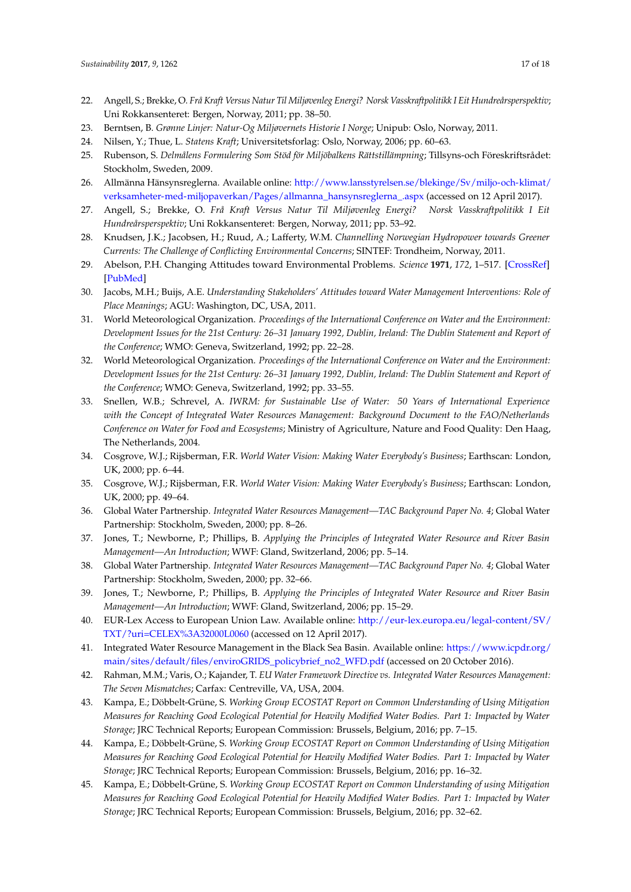- <span id="page-16-0"></span>22. Angell, S.; Brekke, O. *Frå Kraft Versus Natur Til Miljøvenleg Energi? Norsk Vasskraftpolitikk I Eit Hundreårsperspektiv*; Uni Rokkansenteret: Bergen, Norway, 2011; pp. 38–50.
- <span id="page-16-1"></span>23. Berntsen, B. *Grønne Linjer: Natur-Og Miljøvernets Historie I Norge*; Unipub: Oslo, Norway, 2011.
- <span id="page-16-2"></span>24. Nilsen, Y.; Thue, L. *Statens Kraft*; Universitetsforlag: Oslo, Norway, 2006; pp. 60–63.
- <span id="page-16-3"></span>25. Rubenson, S. *Delmålens Formulering Som Stöd för Miljöbalkens Rättstillämpning*; Tillsyns-och Föreskriftsrådet: Stockholm, Sweden, 2009.
- <span id="page-16-4"></span>26. Allmänna Hänsynsreglerna. Available online: [http://www.lansstyrelsen.se/blekinge/Sv/miljo-och-klimat/](http://www.lansstyrelsen.se/blekinge/Sv/miljo-och-klimat/verksamheter-med-miljopaverkan/Pages/allmanna_hansynsreglerna_.aspx) [verksamheter-med-miljopaverkan/Pages/allmanna\\_hansynsreglerna\\_.aspx](http://www.lansstyrelsen.se/blekinge/Sv/miljo-och-klimat/verksamheter-med-miljopaverkan/Pages/allmanna_hansynsreglerna_.aspx) (accessed on 12 April 2017).
- <span id="page-16-5"></span>27. Angell, S.; Brekke, O. *Frå Kraft Versus Natur Til Miljøvenleg Energi? Norsk Vasskraftpolitikk I Eit Hundreårsperspektiv*; Uni Rokkansenteret: Bergen, Norway, 2011; pp. 53–92.
- <span id="page-16-6"></span>28. Knudsen, J.K.; Jacobsen, H.; Ruud, A.; Lafferty, W.M. *Channelling Norwegian Hydropower towards Greener Currents: The Challenge of Conflicting Environmental Concerns*; SINTEF: Trondheim, Norway, 2011.
- <span id="page-16-7"></span>29. Abelson, P.H. Changing Attitudes toward Environmental Problems. *Science* **1971**, *172*, 1–517. [\[CrossRef\]](http://dx.doi.org/10.1126/science.172.3983.517) [\[PubMed\]](http://www.ncbi.nlm.nih.gov/pubmed/17802206)
- <span id="page-16-8"></span>30. Jacobs, M.H.; Buijs, A.E. *Understanding Stakeholders' Attitudes toward Water Management Interventions: Role of Place Meanings*; AGU: Washington, DC, USA, 2011.
- <span id="page-16-9"></span>31. World Meteorological Organization. *Proceedings of the International Conference on Water and the Environment: Development Issues for the 21st Century: 26–31 January 1992, Dublin, Ireland: The Dublin Statement and Report of the Conference*; WMO: Geneva, Switzerland, 1992; pp. 22–28.
- <span id="page-16-10"></span>32. World Meteorological Organization. *Proceedings of the International Conference on Water and the Environment: Development Issues for the 21st Century: 26–31 January 1992, Dublin, Ireland: The Dublin Statement and Report of the Conference*; WMO: Geneva, Switzerland, 1992; pp. 33–55.
- <span id="page-16-11"></span>33. Snellen, W.B.; Schrevel, A. *IWRM: for Sustainable Use of Water: 50 Years of International Experience with the Concept of Integrated Water Resources Management: Background Document to the FAO/Netherlands Conference on Water for Food and Ecosystems*; Ministry of Agriculture, Nature and Food Quality: Den Haag, The Netherlands, 2004.
- <span id="page-16-12"></span>34. Cosgrove, W.J.; Rijsberman, F.R. *World Water Vision: Making Water Everybody's Business*; Earthscan: London, UK, 2000; pp. 6–44.
- <span id="page-16-13"></span>35. Cosgrove, W.J.; Rijsberman, F.R. *World Water Vision: Making Water Everybody's Business*; Earthscan: London, UK, 2000; pp. 49–64.
- <span id="page-16-14"></span>36. Global Water Partnership. *Integrated Water Resources Management—TAC Background Paper No. 4*; Global Water Partnership: Stockholm, Sweden, 2000; pp. 8–26.
- <span id="page-16-15"></span>37. Jones, T.; Newborne, P.; Phillips, B. *Applying the Principles of Integrated Water Resource and River Basin Management—An Introduction*; WWF: Gland, Switzerland, 2006; pp. 5–14.
- <span id="page-16-16"></span>38. Global Water Partnership. *Integrated Water Resources Management—TAC Background Paper No. 4*; Global Water Partnership: Stockholm, Sweden, 2000; pp. 32–66.
- <span id="page-16-17"></span>39. Jones, T.; Newborne, P.; Phillips, B. *Applying the Principles of Integrated Water Resource and River Basin Management—An Introduction*; WWF: Gland, Switzerland, 2006; pp. 15–29.
- <span id="page-16-18"></span>40. EUR-Lex Access to European Union Law. Available online: [http://eur-lex.europa.eu/legal-content/SV/](http://eur-lex.europa.eu/legal-content/SV/TXT/?uri=CELEX%3A32000L0060) [TXT/?uri=CELEX%3A32000L0060](http://eur-lex.europa.eu/legal-content/SV/TXT/?uri=CELEX%3A32000L0060) (accessed on 12 April 2017).
- <span id="page-16-19"></span>41. Integrated Water Resource Management in the Black Sea Basin. Available online: [https://www.icpdr.org/](https://www.icpdr.org/main/sites/default/files/enviroGRIDS_policybrief_no2_WFD.pdf) [main/sites/default/files/enviroGRIDS\\_policybrief\\_no2\\_WFD.pdf](https://www.icpdr.org/main/sites/default/files/enviroGRIDS_policybrief_no2_WFD.pdf) (accessed on 20 October 2016).
- <span id="page-16-20"></span>42. Rahman, M.M.; Varis, O.; Kajander, T. *EU Water Framework Directive vs. Integrated Water Resources Management: The Seven Mismatches*; Carfax: Centreville, VA, USA, 2004.
- <span id="page-16-21"></span>43. Kampa, E.; Döbbelt-Grüne, S. *Working Group ECOSTAT Report on Common Understanding of Using Mitigation Measures for Reaching Good Ecological Potential for Heavily Modified Water Bodies. Part 1: Impacted by Water Storage*; JRC Technical Reports; European Commission: Brussels, Belgium, 2016; pp. 7–15.
- <span id="page-16-22"></span>44. Kampa, E.; Döbbelt-Grüne, S. *Working Group ECOSTAT Report on Common Understanding of Using Mitigation Measures for Reaching Good Ecological Potential for Heavily Modified Water Bodies. Part 1: Impacted by Water Storage*; JRC Technical Reports; European Commission: Brussels, Belgium, 2016; pp. 16–32.
- <span id="page-16-23"></span>45. Kampa, E.; Döbbelt-Grüne, S. *Working Group ECOSTAT Report on Common Understanding of using Mitigation Measures for Reaching Good Ecological Potential for Heavily Modified Water Bodies. Part 1: Impacted by Water Storage*; JRC Technical Reports; European Commission: Brussels, Belgium, 2016; pp. 32–62.